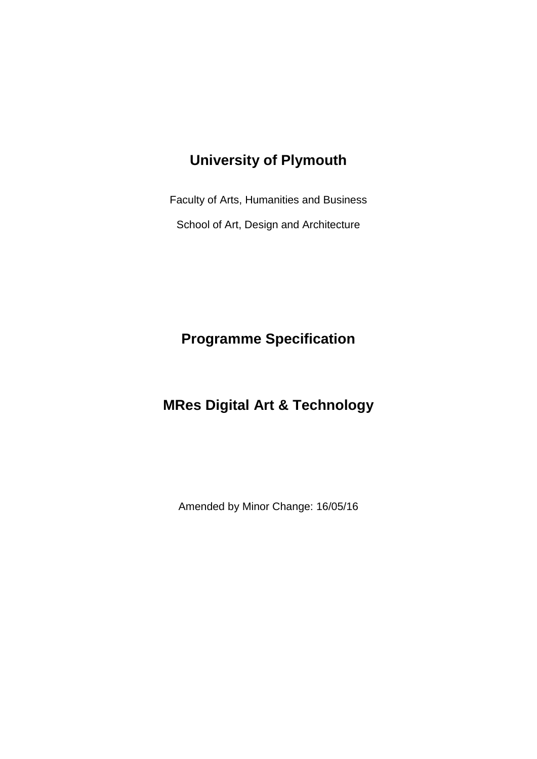# **University of Plymouth**

Faculty of Arts, Humanities and Business School of Art, Design and Architecture

**Programme Specification**

# **MRes Digital Art & Technology**

Amended by Minor Change: 16/05/16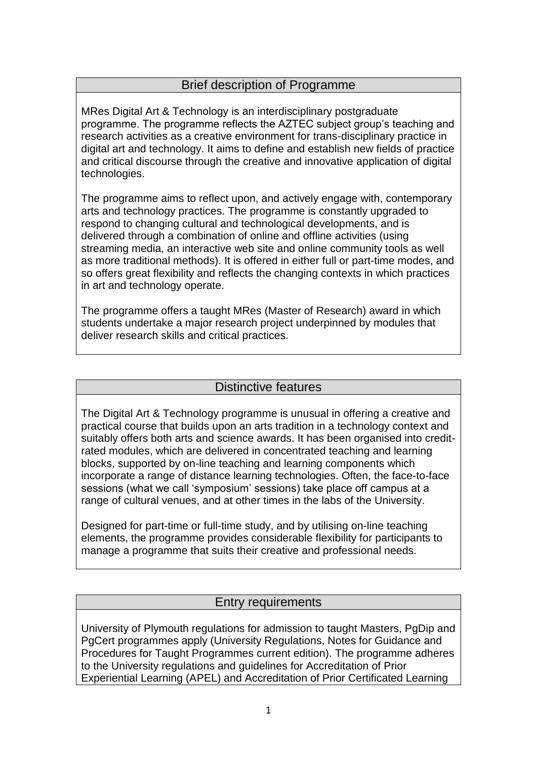#### Brief description of Programme

MRes Digital Art & Technology is an interdisciplinary postgraduate programme. The programme reflects the AZTEC subject group's teaching and research activities as a creative environment for trans-disciplinary practice in digital art and technology. It aims to define and establish new fields of practice and critical discourse through the creative and innovative application of digital technologies.

The programme aims to reflect upon, and actively engage with, contemporary arts and technology practices. The programme is constantly upgraded to respond to changing cultural and technological developments, and is delivered through a combination of online and offline activities (using streaming media, an interactive web site and online community tools as well as more traditional methods). It is offered in either full or part-time modes, and so offers great flexibility and reflects the changing contexts in which practices in art and technology operate.

The programme offers a taught MRes (Master of Research) award in which students undertake a major research project underpinned by modules that deliver research skills and critical practices.

#### Distinctive features

The Digital Art & Technology programme is unusual in offering a creative and practical course that builds upon an arts tradition in a technology context and suitably offers both arts and science awards. It has been organised into creditrated modules, which are delivered in concentrated teaching and learning blocks, supported by on-line teaching and learning components which incorporate a range of distance learning technologies. Often, the face-to-face sessions (what we call 'symposium' sessions) take place off campus at a range of cultural venues, and at other times in the labs of the University.

Designed for part-time or full-time study, and by utilising on-line teaching elements, the programme provides considerable flexibility for participants to manage a programme that suits their creative and professional needs.

#### Entry requirements

University of Plymouth regulations for admission to taught Masters, PgDip and PgCert programmes apply (University Regulations, Notes for Guidance and Procedures for Taught Programmes current edition). The programme adheres to the University regulations and guidelines for Accreditation of Prior Experiential Learning (APEL) and Accreditation of Prior Certificated Learning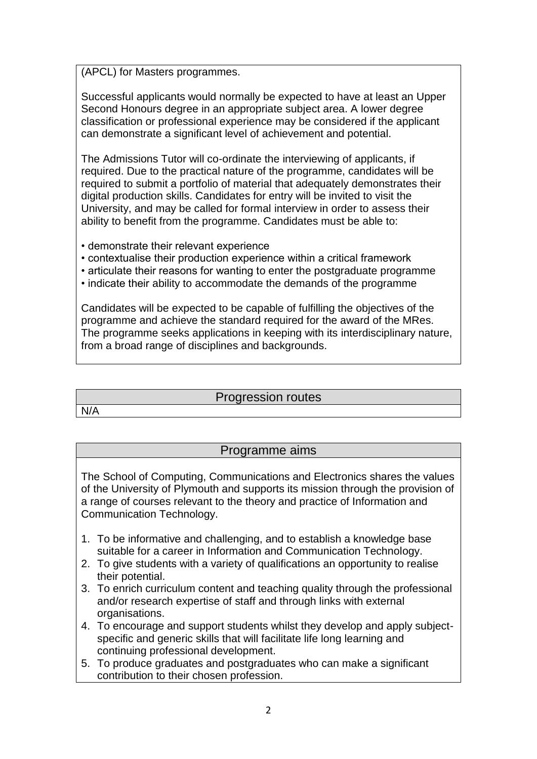(APCL) for Masters programmes.

Successful applicants would normally be expected to have at least an Upper Second Honours degree in an appropriate subject area. A lower degree classification or professional experience may be considered if the applicant can demonstrate a significant level of achievement and potential.

The Admissions Tutor will co-ordinate the interviewing of applicants, if required. Due to the practical nature of the programme, candidates will be required to submit a portfolio of material that adequately demonstrates their digital production skills. Candidates for entry will be invited to visit the University, and may be called for formal interview in order to assess their ability to benefit from the programme. Candidates must be able to:

- demonstrate their relevant experience
- contextualise their production experience within a critical framework
- articulate their reasons for wanting to enter the postgraduate programme
- indicate their ability to accommodate the demands of the programme

Candidates will be expected to be capable of fulfilling the objectives of the programme and achieve the standard required for the award of the MRes. The programme seeks applications in keeping with its interdisciplinary nature, from a broad range of disciplines and backgrounds.

#### Progression routes

N/A

#### Programme aims

The School of Computing, Communications and Electronics shares the values of the University of Plymouth and supports its mission through the provision of a range of courses relevant to the theory and practice of Information and Communication Technology.

- 1. To be informative and challenging, and to establish a knowledge base suitable for a career in Information and Communication Technology.
- 2. To give students with a variety of qualifications an opportunity to realise their potential.
- 3. To enrich curriculum content and teaching quality through the professional and/or research expertise of staff and through links with external organisations.
- 4. To encourage and support students whilst they develop and apply subjectspecific and generic skills that will facilitate life long learning and continuing professional development.
- 5. To produce graduates and postgraduates who can make a significant contribution to their chosen profession.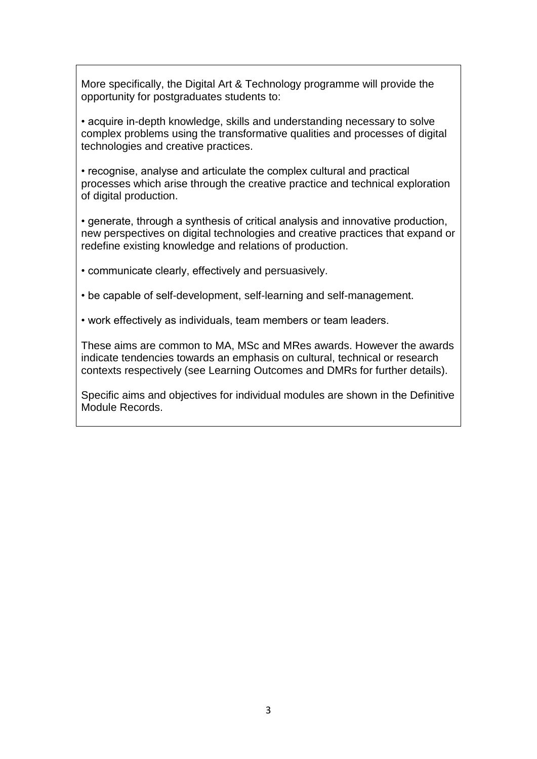More specifically, the Digital Art & Technology programme will provide the opportunity for postgraduates students to:

• acquire in-depth knowledge, skills and understanding necessary to solve complex problems using the transformative qualities and processes of digital technologies and creative practices.

• recognise, analyse and articulate the complex cultural and practical processes which arise through the creative practice and technical exploration of digital production.

• generate, through a synthesis of critical analysis and innovative production, new perspectives on digital technologies and creative practices that expand or redefine existing knowledge and relations of production.

• communicate clearly, effectively and persuasively.

• be capable of self-development, self-learning and self-management.

• work effectively as individuals, team members or team leaders.

These aims are common to MA, MSc and MRes awards. However the awards indicate tendencies towards an emphasis on cultural, technical or research contexts respectively (see Learning Outcomes and DMRs for further details).

Specific aims and objectives for individual modules are shown in the Definitive Module Records.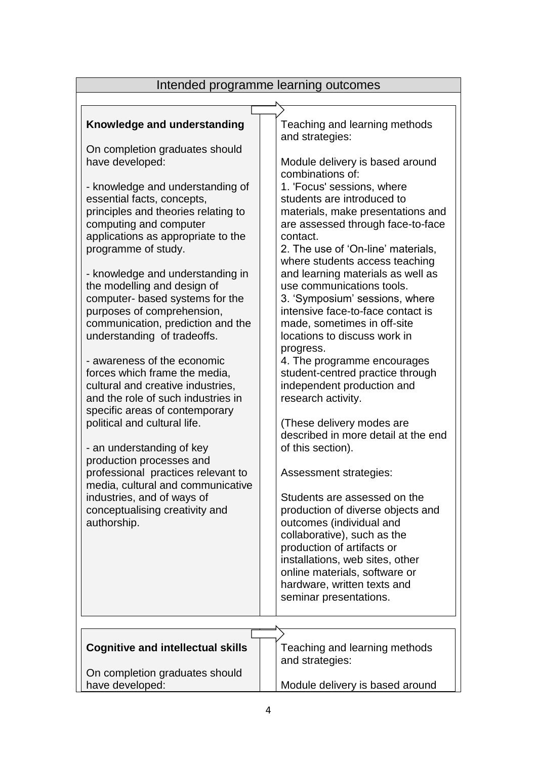| Intended programme learning outcomes                                                                                                                                                                                                                                                                                                                                                                                                                                                                                                                                                                                                                                                                                                                                                                                                                                                                                     |                                                                                                                                                                                                                                                                                                                                                                                                                                                                                                                                                                                                                                                                                                                                                                                                                                                                                                                                                                                                   |  |  |  |
|--------------------------------------------------------------------------------------------------------------------------------------------------------------------------------------------------------------------------------------------------------------------------------------------------------------------------------------------------------------------------------------------------------------------------------------------------------------------------------------------------------------------------------------------------------------------------------------------------------------------------------------------------------------------------------------------------------------------------------------------------------------------------------------------------------------------------------------------------------------------------------------------------------------------------|---------------------------------------------------------------------------------------------------------------------------------------------------------------------------------------------------------------------------------------------------------------------------------------------------------------------------------------------------------------------------------------------------------------------------------------------------------------------------------------------------------------------------------------------------------------------------------------------------------------------------------------------------------------------------------------------------------------------------------------------------------------------------------------------------------------------------------------------------------------------------------------------------------------------------------------------------------------------------------------------------|--|--|--|
|                                                                                                                                                                                                                                                                                                                                                                                                                                                                                                                                                                                                                                                                                                                                                                                                                                                                                                                          |                                                                                                                                                                                                                                                                                                                                                                                                                                                                                                                                                                                                                                                                                                                                                                                                                                                                                                                                                                                                   |  |  |  |
| Knowledge and understanding<br>On completion graduates should<br>have developed:<br>- knowledge and understanding of<br>essential facts, concepts,<br>principles and theories relating to<br>computing and computer<br>applications as appropriate to the<br>programme of study.<br>- knowledge and understanding in<br>the modelling and design of<br>computer- based systems for the<br>purposes of comprehension,<br>communication, prediction and the<br>understanding of tradeoffs.<br>- awareness of the economic<br>forces which frame the media,<br>cultural and creative industries,<br>and the role of such industries in<br>specific areas of contemporary<br>political and cultural life.<br>- an understanding of key<br>production processes and<br>professional practices relevant to<br>media, cultural and communicative<br>industries, and of ways of<br>conceptualising creativity and<br>authorship. | Teaching and learning methods<br>and strategies:<br>Module delivery is based around<br>combinations of:<br>1. 'Focus' sessions, where<br>students are introduced to<br>materials, make presentations and<br>are assessed through face-to-face<br>contact.<br>2. The use of 'On-line' materials,<br>where students access teaching<br>and learning materials as well as<br>use communications tools.<br>3. 'Symposium' sessions, where<br>intensive face-to-face contact is<br>made, sometimes in off-site<br>locations to discuss work in<br>progress.<br>4. The programme encourages<br>student-centred practice through<br>independent production and<br>research activity.<br>(These delivery modes are<br>described in more detail at the end<br>of this section).<br>Assessment strategies:<br>Students are assessed on the<br>production of diverse objects and<br>outcomes (individual and<br>collaborative), such as the<br>production of artifacts or<br>installations, web sites, other |  |  |  |
|                                                                                                                                                                                                                                                                                                                                                                                                                                                                                                                                                                                                                                                                                                                                                                                                                                                                                                                          | online materials, software or<br>hardware, written texts and<br>seminar presentations.                                                                                                                                                                                                                                                                                                                                                                                                                                                                                                                                                                                                                                                                                                                                                                                                                                                                                                            |  |  |  |
|                                                                                                                                                                                                                                                                                                                                                                                                                                                                                                                                                                                                                                                                                                                                                                                                                                                                                                                          |                                                                                                                                                                                                                                                                                                                                                                                                                                                                                                                                                                                                                                                                                                                                                                                                                                                                                                                                                                                                   |  |  |  |
| <b>Cognitive and intellectual skills</b>                                                                                                                                                                                                                                                                                                                                                                                                                                                                                                                                                                                                                                                                                                                                                                                                                                                                                 | Teaching and learning methods<br>and strategies:                                                                                                                                                                                                                                                                                                                                                                                                                                                                                                                                                                                                                                                                                                                                                                                                                                                                                                                                                  |  |  |  |
| On completion graduates should<br>have developed:                                                                                                                                                                                                                                                                                                                                                                                                                                                                                                                                                                                                                                                                                                                                                                                                                                                                        | Module delivery is based around                                                                                                                                                                                                                                                                                                                                                                                                                                                                                                                                                                                                                                                                                                                                                                                                                                                                                                                                                                   |  |  |  |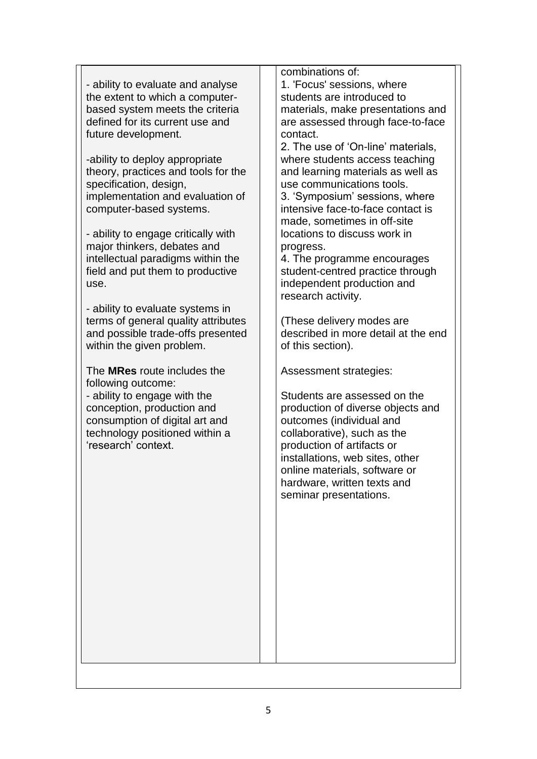- ability to evaluate and analyse the extent to which a computerbased system meets the criteria defined for its current use and future development. -ability to deploy appropriate theory, practices and tools for the specification, design, implementation and evaluation of computer-based systems. - ability to engage critically with major thinkers, debates and intellectual paradigms within the field and put them to productive use. - ability to evaluate systems in terms of general quality attributes and possible trade-offs presented within the given problem. The **MRes** route includes the following outcome: - ability to engage with the conception, production and consumption of digital art and technology positioned within a 'research' context. combinations of: 1. 'Focus' sessions, where students are introduced to materials, make presentations and are assessed through face-to-face contact. 2. The use of 'On-line' materials, where students access teaching and learning materials as well as use communications tools. 3. 'Symposium' sessions, where intensive face-to-face contact is made, sometimes in off-site locations to discuss work in progress. 4. The programme encourages student-centred practice through independent production and research activity. (These delivery modes are described in more detail at the end of this section). Assessment strategies: Students are assessed on the production of diverse objects and outcomes (individual and collaborative), such as the production of artifacts or installations, web sites, other online materials, software or hardware, written texts and seminar presentations.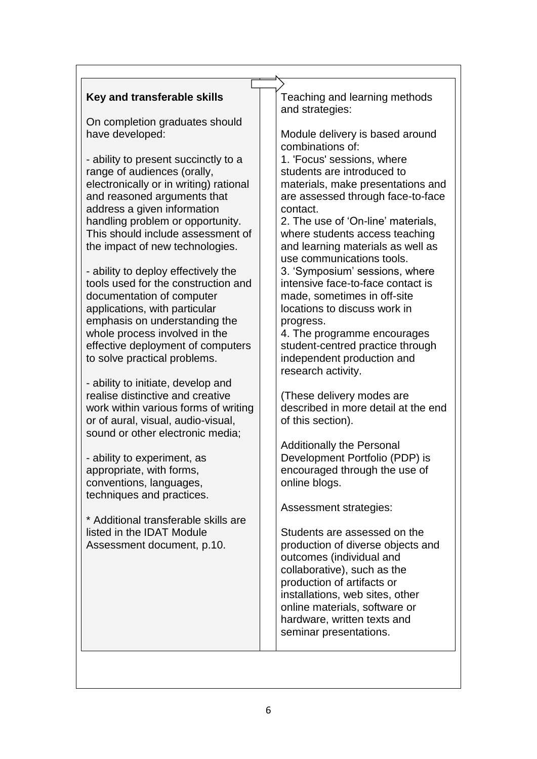$\overline{1}$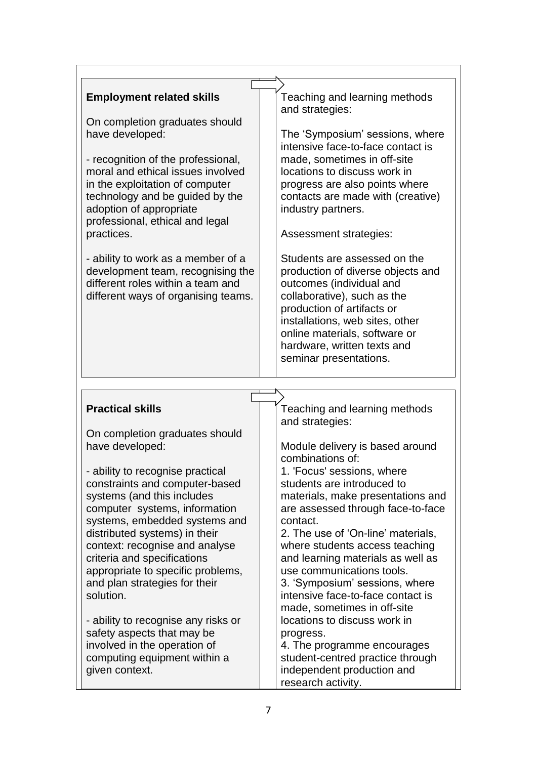| <b>Employment related skills</b><br>On completion graduates should<br>have developed:<br>- recognition of the professional,<br>moral and ethical issues involved<br>in the exploitation of computer<br>technology and be guided by the<br>adoption of appropriate<br>professional, ethical and legal<br>practices.<br>- ability to work as a member of a<br>development team, recognising the<br>different roles within a team and<br>different ways of organising teams. | Teaching and learning methods<br>and strategies:<br>The 'Symposium' sessions, where<br>intensive face-to-face contact is<br>made, sometimes in off-site<br>locations to discuss work in<br>progress are also points where<br>contacts are made with (creative)<br>industry partners.<br>Assessment strategies:<br>Students are assessed on the<br>production of diverse objects and<br>outcomes (individual and<br>collaborative), such as the<br>production of artifacts or<br>installations, web sites, other<br>online materials, software or<br>hardware, written texts and<br>seminar presentations. |
|---------------------------------------------------------------------------------------------------------------------------------------------------------------------------------------------------------------------------------------------------------------------------------------------------------------------------------------------------------------------------------------------------------------------------------------------------------------------------|-----------------------------------------------------------------------------------------------------------------------------------------------------------------------------------------------------------------------------------------------------------------------------------------------------------------------------------------------------------------------------------------------------------------------------------------------------------------------------------------------------------------------------------------------------------------------------------------------------------|
|                                                                                                                                                                                                                                                                                                                                                                                                                                                                           |                                                                                                                                                                                                                                                                                                                                                                                                                                                                                                                                                                                                           |
|                                                                                                                                                                                                                                                                                                                                                                                                                                                                           |                                                                                                                                                                                                                                                                                                                                                                                                                                                                                                                                                                                                           |
|                                                                                                                                                                                                                                                                                                                                                                                                                                                                           |                                                                                                                                                                                                                                                                                                                                                                                                                                                                                                                                                                                                           |
| <b>Practical skills</b><br>On completion graduates should                                                                                                                                                                                                                                                                                                                                                                                                                 | Teaching and learning methods<br>and strategies:                                                                                                                                                                                                                                                                                                                                                                                                                                                                                                                                                          |
| have developed:                                                                                                                                                                                                                                                                                                                                                                                                                                                           | Module delivery is based around<br>combinations of:                                                                                                                                                                                                                                                                                                                                                                                                                                                                                                                                                       |
| - ability to recognise practical                                                                                                                                                                                                                                                                                                                                                                                                                                          | 1. 'Focus' sessions, where                                                                                                                                                                                                                                                                                                                                                                                                                                                                                                                                                                                |
| constraints and computer-based                                                                                                                                                                                                                                                                                                                                                                                                                                            | students are introduced to                                                                                                                                                                                                                                                                                                                                                                                                                                                                                                                                                                                |
| systems (and this includes                                                                                                                                                                                                                                                                                                                                                                                                                                                | materials, make presentations and                                                                                                                                                                                                                                                                                                                                                                                                                                                                                                                                                                         |
| computer systems, information                                                                                                                                                                                                                                                                                                                                                                                                                                             | are assessed through face-to-face                                                                                                                                                                                                                                                                                                                                                                                                                                                                                                                                                                         |
| systems, embedded systems and                                                                                                                                                                                                                                                                                                                                                                                                                                             | contact.                                                                                                                                                                                                                                                                                                                                                                                                                                                                                                                                                                                                  |
| distributed systems) in their                                                                                                                                                                                                                                                                                                                                                                                                                                             | 2. The use of 'On-line' materials,                                                                                                                                                                                                                                                                                                                                                                                                                                                                                                                                                                        |
| context: recognise and analyse<br>criteria and specifications                                                                                                                                                                                                                                                                                                                                                                                                             | where students access teaching<br>and learning materials as well as                                                                                                                                                                                                                                                                                                                                                                                                                                                                                                                                       |
| appropriate to specific problems,                                                                                                                                                                                                                                                                                                                                                                                                                                         | use communications tools.                                                                                                                                                                                                                                                                                                                                                                                                                                                                                                                                                                                 |
| and plan strategies for their                                                                                                                                                                                                                                                                                                                                                                                                                                             | 3. 'Symposium' sessions, where                                                                                                                                                                                                                                                                                                                                                                                                                                                                                                                                                                            |
| solution.                                                                                                                                                                                                                                                                                                                                                                                                                                                                 | intensive face-to-face contact is                                                                                                                                                                                                                                                                                                                                                                                                                                                                                                                                                                         |
|                                                                                                                                                                                                                                                                                                                                                                                                                                                                           | made, sometimes in off-site                                                                                                                                                                                                                                                                                                                                                                                                                                                                                                                                                                               |
| - ability to recognise any risks or                                                                                                                                                                                                                                                                                                                                                                                                                                       | locations to discuss work in                                                                                                                                                                                                                                                                                                                                                                                                                                                                                                                                                                              |
| safety aspects that may be                                                                                                                                                                                                                                                                                                                                                                                                                                                | progress.                                                                                                                                                                                                                                                                                                                                                                                                                                                                                                                                                                                                 |
| involved in the operation of                                                                                                                                                                                                                                                                                                                                                                                                                                              | 4. The programme encourages                                                                                                                                                                                                                                                                                                                                                                                                                                                                                                                                                                               |
| computing equipment within a                                                                                                                                                                                                                                                                                                                                                                                                                                              | student-centred practice through                                                                                                                                                                                                                                                                                                                                                                                                                                                                                                                                                                          |
|                                                                                                                                                                                                                                                                                                                                                                                                                                                                           |                                                                                                                                                                                                                                                                                                                                                                                                                                                                                                                                                                                                           |
| given context.                                                                                                                                                                                                                                                                                                                                                                                                                                                            | independent production and<br>research activity.                                                                                                                                                                                                                                                                                                                                                                                                                                                                                                                                                          |

 $\mathbf{r}$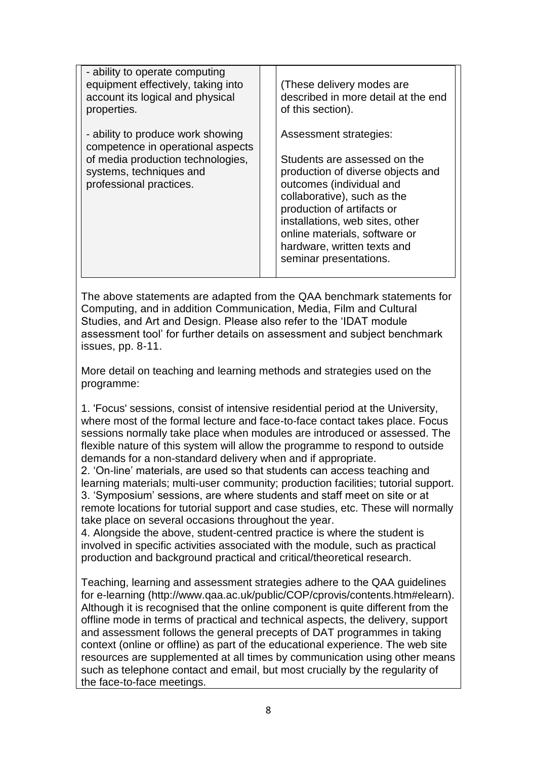| - ability to operate computing<br>equipment effectively, taking into<br>account its logical and physical<br>properties.                                           | (These delivery modes are<br>described in more detail at the end<br>of this section).                                                                                                                                                                                                                             |  |
|-------------------------------------------------------------------------------------------------------------------------------------------------------------------|-------------------------------------------------------------------------------------------------------------------------------------------------------------------------------------------------------------------------------------------------------------------------------------------------------------------|--|
| - ability to produce work showing<br>competence in operational aspects<br>of media production technologies,<br>systems, techniques and<br>professional practices. | Assessment strategies:<br>Students are assessed on the<br>production of diverse objects and<br>outcomes (individual and<br>collaborative), such as the<br>production of artifacts or<br>installations, web sites, other<br>online materials, software or<br>hardware, written texts and<br>seminar presentations. |  |

The above statements are adapted from the QAA benchmark statements for Computing, and in addition Communication, Media, Film and Cultural Studies, and Art and Design. Please also refer to the 'IDAT module assessment tool' for further details on assessment and subject benchmark issues, pp. 8-11.

More detail on teaching and learning methods and strategies used on the programme:

1. 'Focus' sessions, consist of intensive residential period at the University, where most of the formal lecture and face-to-face contact takes place. Focus sessions normally take place when modules are introduced or assessed. The flexible nature of this system will allow the programme to respond to outside demands for a non-standard delivery when and if appropriate.

2. 'On-line' materials, are used so that students can access teaching and learning materials; multi-user community; production facilities; tutorial support. 3. 'Symposium' sessions, are where students and staff meet on site or at remote locations for tutorial support and case studies, etc. These will normally take place on several occasions throughout the year.

4. Alongside the above, student-centred practice is where the student is involved in specific activities associated with the module, such as practical production and background practical and critical/theoretical research.

Teaching, learning and assessment strategies adhere to the QAA guidelines for e-learning (http://www.qaa.ac.uk/public/COP/cprovis/contents.htm#elearn). Although it is recognised that the online component is quite different from the offline mode in terms of practical and technical aspects, the delivery, support and assessment follows the general precepts of DAT programmes in taking context (online or offline) as part of the educational experience. The web site resources are supplemented at all times by communication using other means such as telephone contact and email, but most crucially by the regularity of the face-to-face meetings.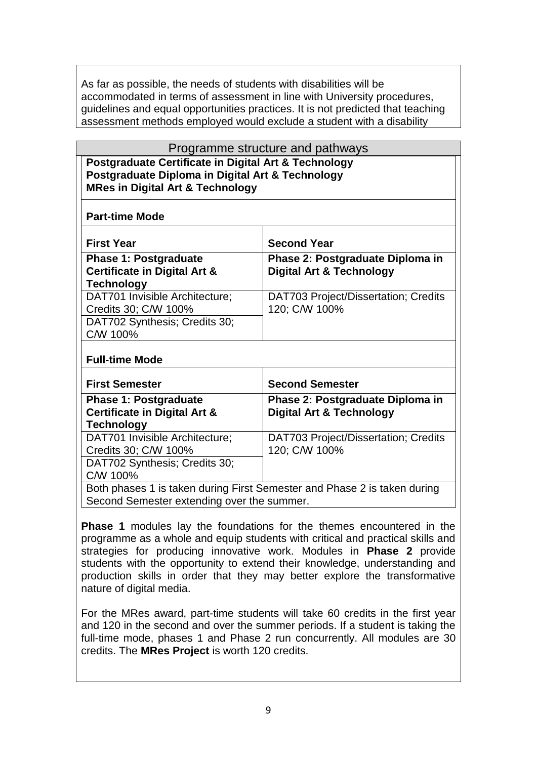As far as possible, the needs of students with disabilities will be accommodated in terms of assessment in line with University procedures, guidelines and equal opportunities practices. It is not predicted that teaching assessment methods employed would exclude a student with a disability

| Programme structure and pathways                                                                                                                        |                                                                         |  |  |
|---------------------------------------------------------------------------------------------------------------------------------------------------------|-------------------------------------------------------------------------|--|--|
| Postgraduate Certificate in Digital Art & Technology<br>Postgraduate Diploma in Digital Art & Technology<br><b>MRes in Digital Art &amp; Technology</b> |                                                                         |  |  |
| <b>Part-time Mode</b>                                                                                                                                   |                                                                         |  |  |
| <b>First Year</b>                                                                                                                                       | <b>Second Year</b>                                                      |  |  |
| <b>Phase 1: Postgraduate</b><br><b>Certificate in Digital Art &amp;</b><br><b>Technology</b>                                                            | Phase 2: Postgraduate Diploma in<br><b>Digital Art &amp; Technology</b> |  |  |
| DAT701 Invisible Architecture;<br>Credits 30; C/W 100%<br>DAT702 Synthesis; Credits 30;<br>C/W 100%                                                     | DAT703 Project/Dissertation; Credits<br>120; C/W 100%                   |  |  |
| <b>Full-time Mode</b>                                                                                                                                   |                                                                         |  |  |
| <b>First Semester</b>                                                                                                                                   | <b>Second Semester</b>                                                  |  |  |
| <b>Phase 1: Postgraduate</b><br><b>Certificate in Digital Art &amp;</b><br><b>Technology</b>                                                            | Phase 2: Postgraduate Diploma in<br><b>Digital Art &amp; Technology</b> |  |  |
| DAT701 Invisible Architecture;<br>Credits 30; C/W 100%<br>DAT702 Synthesis; Credits 30;<br>C/W 100%                                                     | DAT703 Project/Dissertation; Credits<br>120; C/W 100%                   |  |  |
| Both phases 1 is taken during First Semester and Phase 2 is taken during<br>Second Semester extending over the summer.                                  |                                                                         |  |  |

**Phase 1** modules lay the foundations for the themes encountered in the programme as a whole and equip students with critical and practical skills and strategies for producing innovative work. Modules in **Phase 2** provide students with the opportunity to extend their knowledge, understanding and production skills in order that they may better explore the transformative nature of digital media.

For the MRes award, part-time students will take 60 credits in the first year and 120 in the second and over the summer periods. If a student is taking the full-time mode, phases 1 and Phase 2 run concurrently. All modules are 30 credits. The **MRes Project** is worth 120 credits.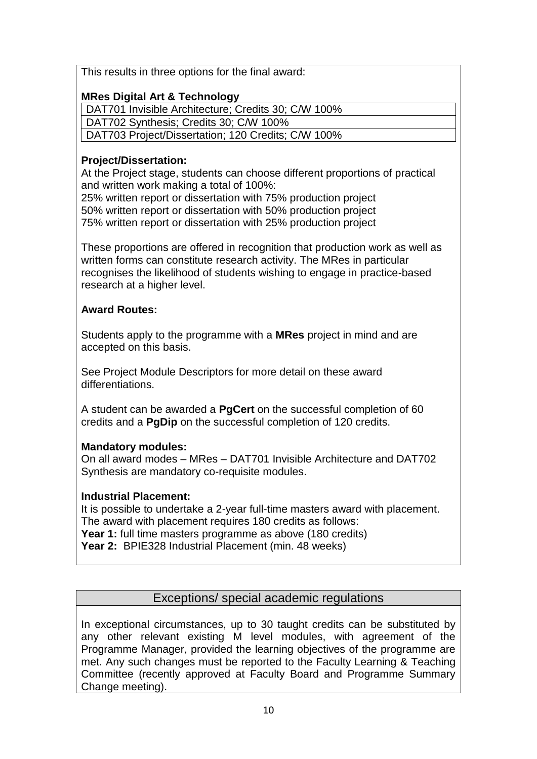This results in three options for the final award:

#### **MRes Digital Art & Technology**

DAT701 Invisible Architecture; Credits 30; C/W 100%

DAT702 Synthesis; Credits 30; C/W 100%

DAT703 Project/Dissertation; 120 Credits; C/W 100%

#### **Project/Dissertation:**

At the Project stage, students can choose different proportions of practical and written work making a total of 100%:

25% written report or dissertation with 75% production project 50% written report or dissertation with 50% production project 75% written report or dissertation with 25% production project

These proportions are offered in recognition that production work as well as written forms can constitute research activity. The MRes in particular recognises the likelihood of students wishing to engage in practice-based research at a higher level.

#### **Award Routes:**

Students apply to the programme with a **MRes** project in mind and are accepted on this basis.

See Project Module Descriptors for more detail on these award differentiations.

A student can be awarded a **PgCert** on the successful completion of 60 credits and a **PgDip** on the successful completion of 120 credits.

## **Mandatory modules:**

On all award modes – MRes – DAT701 Invisible Architecture and DAT702 Synthesis are mandatory co-requisite modules.

## **Industrial Placement:**

It is possible to undertake a 2-year full-time masters award with placement. The award with placement requires 180 credits as follows: **Year 1:** full time masters programme as above (180 credits) **Year 2:** BPIE328 Industrial Placement (min. 48 weeks)

## Exceptions/ special academic regulations

In exceptional circumstances, up to 30 taught credits can be substituted by any other relevant existing M level modules, with agreement of the Programme Manager, provided the learning objectives of the programme are met. Any such changes must be reported to the Faculty Learning & Teaching Committee (recently approved at Faculty Board and Programme Summary Change meeting).